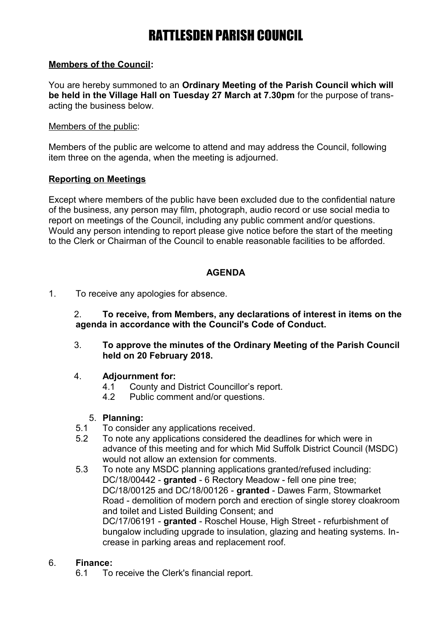### **Members of the Council:**

You are hereby summoned to an **Ordinary Meeting of the Parish Council which will be held in the Village Hall on Tuesday 27 March at 7.30pm** for the purpose of transacting the business below.

#### Members of the public:

Members of the public are welcome to attend and may address the Council, following item three on the agenda, when the meeting is adjourned.

### **Reporting on Meetings**

Except where members of the public have been excluded due to the confidential nature of the business, any person may film, photograph, audio record or use social media to report on meetings of the Council, including any public comment and/or questions. Would any person intending to report please give notice before the start of the meeting to the Clerk or Chairman of the Council to enable reasonable facilities to be afforded.

### **AGENDA**

1. To receive any apologies for absence.

2. **To receive, from Members, any declarations of interest in items on the agenda in accordance with the Council's Code of Conduct.**

3. **To approve the minutes of the Ordinary Meeting of the Parish Council held on 20 February 2018.**

### 4. **Adjournment for:**

- 4.1 County and District Councillor's report.
- 4.2 Public comment and/or questions.

### 5. **Planning:**

- 5.1 To consider any applications received.
- 5.2 To note any applications considered the deadlines for which were in advance of this meeting and for which Mid Suffolk District Council (MSDC) would not allow an extension for comments.
- 5.3 To note any MSDC planning applications granted/refused including: DC/18/00442 - **granted** - 6 Rectory Meadow - fell one pine tree; DC/18/00125 and DC/18/00126 - **granted** - Dawes Farm, Stowmarket Road - demolition of modern porch and erection of single storey cloakroom and toilet and Listed Building Consent; and DC/17/06191 - **granted** - Roschel House, High Street - refurbishment of bungalow including upgrade to insulation, glazing and heating systems. Increase in parking areas and replacement roof.

### 6. **Finance:**

6.1 To receive the Clerk's financial report.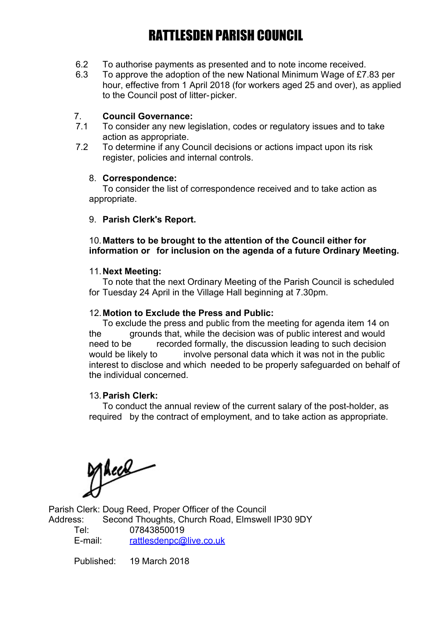- 6.2 To authorise payments as presented and to note income received.
- 6.3 To approve the adoption of the new National Minimum Wage of £7.83 per hour, effective from 1 April 2018 (for workers aged 25 and over), as applied to the Council post of litter-picker.

### 7. **Council Governance:**

- 7.1 To consider any new legislation, codes or regulatory issues and to take action as appropriate.
- 7.2 To determine if any Council decisions or actions impact upon its risk register, policies and internal controls.

#### 8. **Correspondence:**

To consider the list of correspondence received and to take action as appropriate.

#### 9. **Parish Clerk's Report.**

### 10.**Matters to be brought to the attention of the Council either for information or for inclusion on the agenda of a future Ordinary Meeting.**

#### 11.**Next Meeting:**

To note that the next Ordinary Meeting of the Parish Council is scheduled for Tuesday 24 April in the Village Hall beginning at 7.30pm.

#### 12.**Motion to Exclude the Press and Public:**

To exclude the press and public from the meeting for agenda item 14 on the grounds that, while the decision was of public interest and would need to be recorded formally, the discussion leading to such decision would be likely to involve personal data which it was not in the public interest to disclose and which needed to be properly safeguarded on behalf of the individual concerned.

### 13.**Parish Clerk:**

To conduct the annual review of the current salary of the post-holder, as required by the contract of employment, and to take action as appropriate.

Mece

Parish Clerk: Doug Reed, Proper Officer of the Council Address: Second Thoughts, Church Road, Elmswell IP30 9DY Tel: 07843850019 E-mail: [rattlesdenpc@live.co.uk](mailto:rattlesdenpc@live.co.uk)

Published: 19 March 2018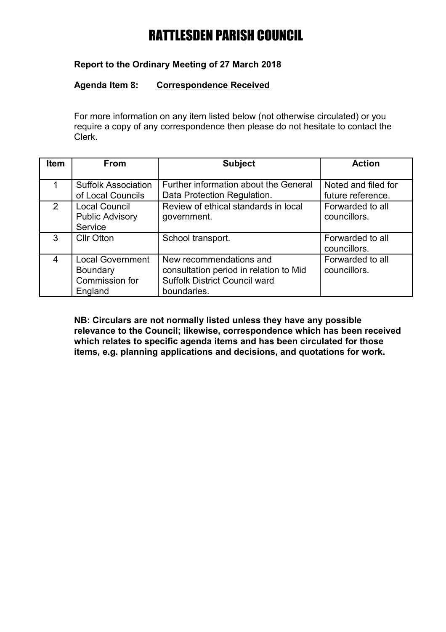## **Report to the Ordinary Meeting of 27 March 2018**

### **Agenda Item 8: Correspondence Received**

For more information on any item listed below (not otherwise circulated) or you require a copy of any correspondence then please do not hesitate to contact the Clerk.

| <b>Item</b>   | <b>From</b>                                                             | <b>Subject</b>                                                                                                           | <b>Action</b>                            |
|---------------|-------------------------------------------------------------------------|--------------------------------------------------------------------------------------------------------------------------|------------------------------------------|
|               | <b>Suffolk Association</b><br>of Local Councils                         | Further information about the General<br>Data Protection Regulation.                                                     | Noted and filed for<br>future reference. |
| $\mathcal{P}$ | <b>Local Council</b><br><b>Public Advisory</b><br>Service               | Review of ethical standards in local<br>government.                                                                      | Forwarded to all<br>councillors.         |
| 3             | <b>Cllr Otton</b>                                                       | School transport.                                                                                                        | Forwarded to all<br>councillors.         |
| 4             | <b>Local Government</b><br><b>Boundary</b><br>Commission for<br>England | New recommendations and<br>consultation period in relation to Mid<br><b>Suffolk District Council ward</b><br>boundaries. | Forwarded to all<br>councillors.         |

**NB: Circulars are not normally listed unless they have any possible relevance to the Council; likewise, correspondence which has been received which relates to specific agenda items and has been circulated for those items, e.g. planning applications and decisions, and quotations for work.**